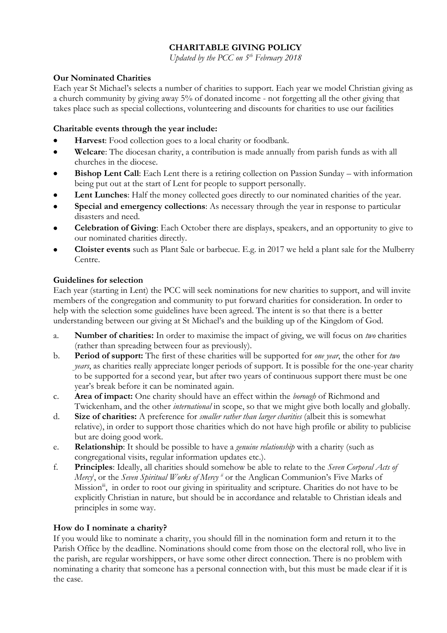# **CHARITABLE GIVING POLICY**

*Updated by the PCC on 5th February 2018*

## **Our Nominated Charities**

Each year St Michael's selects a number of charities to support. Each year we model Christian giving as a church community by giving away 5% of donated income - not forgetting all the other giving that takes place such as special collections, volunteering and discounts for charities to use our facilities

### **Charitable events through the year include:**

- **Harvest**: Food collection goes to a local charity or foodbank.
- **Welcare**: The diocesan charity, a contribution is made annually from parish funds as with all churches in the diocese.
- **Bishop Lent Call:** Each Lent there is a retiring collection on Passion Sunday with information being put out at the start of Lent for people to support personally.
- Lent Lunches: Half the money collected goes directly to our nominated charities of the year.
- **Special and emergency collections**: As necessary through the year in response to particular disasters and need.
- **Celebration of Giving**: Each October there are displays, speakers, and an opportunity to give to our nominated charities directly.
- **Cloister events** such as Plant Sale or barbecue. E.g. in 2017 we held a plant sale for the Mulberry Centre.

### **Guidelines for selection**

Each year (starting in Lent) the PCC will seek nominations for new charities to support, and will invite members of the congregation and community to put forward charities for consideration. In order to help with the selection some guidelines have been agreed. The intent is so that there is a better understanding between our giving at St Michael's and the building up of the Kingdom of God.

- a. **Number of charities:** In order to maximise the impact of giving, we will focus on *two* charities (rather than spreading between four as previously).
- b. **Period of support:** The first of these charities will be supported for *one year*, the other for *two years*, as charities really appreciate longer periods of support. It is possible for the one-year charity to be supported for a second year, but after two years of continuous support there must be one year's break before it can be nominated again.
- c. **Area of impact:** One charity should have an effect within the *borough* of Richmond and Twickenham, and the other *international* in scope, so that we might give both locally and globally.
- d. **Size of charities:** A preference for *smaller rather than larger charities* (albeit this is somewhat relative), in order to support those charities which do not have high profile or ability to publicise but are doing good work.
- e. **Relationship**: It should be possible to have a *genuine relationship* with a charity (such as congregational visits, regular information updates etc.).
- f. **Principles**: Ideally, all charities should somehow be able to relate to the *Seven Corporal Acts of Mercy*<sup>i</sup> , or the *Seven Spiritual Works of Mercy ii* or the Anglican Communion's Five Marks of Mission<sup>ii</sup>, in order to root our giving in spirituality and scripture. Charities do not have to be explicitly Christian in nature, but should be in accordance and relatable to Christian ideals and principles in some way.

## **How do I nominate a charity?**

If you would like to nominate a charity, you should fill in the nomination form and return it to the Parish Office by the deadline. Nominations should come from those on the electoral roll, who live in the parish, are regular worshippers, or have some other direct connection. There is no problem with nominating a charity that someone has a personal connection with, but this must be made clear if it is the case.